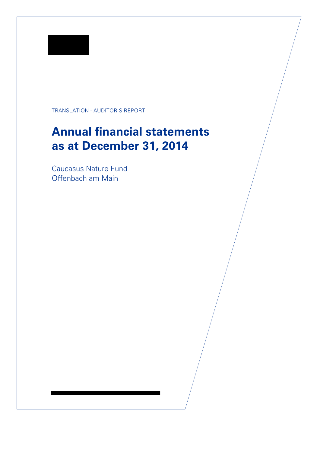

TRANSLATION - AUDITOR'S REPORT

## Annual financial statements as at December 31, 2014

Caucasus Nature Fund Offenbach am Main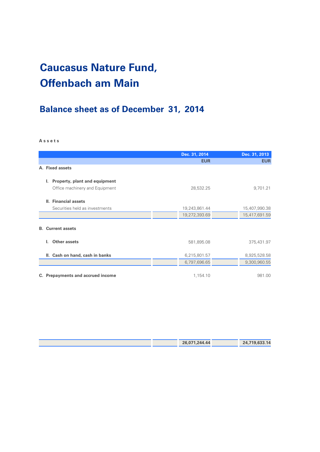### Balance sheet as of December 31, 2014

A s s e t s

|                                     | Dec. 31, 2014<br><b>EUR</b> | Dec. 31, 2013<br><b>EUR</b> |
|-------------------------------------|-----------------------------|-----------------------------|
| A. Fixed assets                     |                             |                             |
| Property, plant and equipment<br>Ι. |                             |                             |
| Office machinery and Equipment      | 28,532.25                   | 9,701.21                    |
| II. Financial assets                |                             |                             |
| Securities held as investments      | 19,243,861.44               | 15,407,990.38               |
|                                     | 19,272,393.69               | 15,417,691.59               |
| <b>B.</b> Current assets            |                             |                             |
| Other assets                        | 581,895.08                  | 375,431.97                  |
| II. Cash on hand, cash in banks     | 6,215,801.57                | 8,925,528.58                |
|                                     | 6,797,696.65                | 9,300,960.55                |
| C. Prepayments and accrued income   | 1,154.10                    | 981.00                      |

|  | 26,071,244.44 | 24,719,633.14 |
|--|---------------|---------------|
|  |               |               |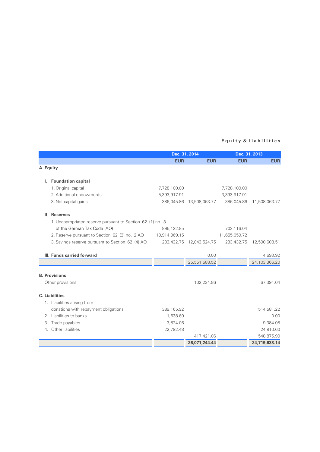#### Equity & liabilities

|                                                            | Dec. 31, 2014 |                          |               | Dec. 31, 2013 |  |
|------------------------------------------------------------|---------------|--------------------------|---------------|---------------|--|
|                                                            | <b>EUR</b>    | <b>EUR</b>               | <b>EUR</b>    | <b>EUR</b>    |  |
| A. Equity                                                  |               |                          |               |               |  |
|                                                            |               |                          |               |               |  |
| <b>Foundation capital</b>                                  |               |                          |               |               |  |
| 1. Original capital                                        | 7,728,100.00  |                          | 7,728,100.00  |               |  |
| 2. Additional endowments                                   | 5,393,917.91  |                          | 3,393,917.91  |               |  |
| 3. Net capital gains                                       |               | 386,045.86 13,508,063.77 | 386,045.86    | 11,508,063.77 |  |
| II. Reserves                                               |               |                          |               |               |  |
| 1. Unappropriated reserve pursuant to Section 62 (1) no. 3 |               |                          |               |               |  |
| of the German Tax Code (AO)                                | 895,122.85    |                          | 702,116.04    |               |  |
| 2. Reserve pursuant to Section 62 (3) no. 2 AO             | 10,914,969.15 |                          | 11,655,059.72 |               |  |
| 3. Savings reserve pursuant to Section 62 (4) AO           |               | 233,432.75 12,043,524.75 | 233,432.75    | 12,590,608.51 |  |
| III. Funds carried forward                                 |               | 0.00                     |               | 4,693.92      |  |
|                                                            |               | 25,551,588.52            |               | 24,103,366.20 |  |
|                                                            |               |                          |               |               |  |
| <b>B. Provisions</b>                                       |               |                          |               |               |  |
| Other provisions                                           |               | 102,234.86               |               | 67,391.04     |  |
| <b>C.</b> Liabilities                                      |               |                          |               |               |  |
| 1. Liabilities arising from                                |               |                          |               |               |  |
| donations with repayment obligations                       | 389,165.92    |                          |               | 514,581.22    |  |
| 2. Liabilities to banks                                    | 1,638.60      |                          |               | 0.00          |  |
| 3. Trade payables                                          | 3,824.06      |                          |               | 9,384.08      |  |
| 4. Other liabilities                                       | 22,792.48     |                          |               | 24,910.60     |  |
|                                                            |               | 417,421.06               |               | 548,875.90    |  |
|                                                            |               | 26,071,244.44            |               | 24,719,633.14 |  |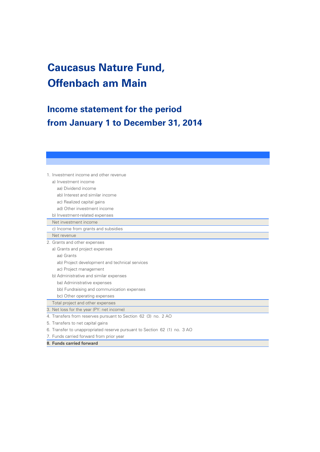## Income statement for the period from January 1 to December 31, 2014

| 1. Investment income and other revenue                                    |
|---------------------------------------------------------------------------|
| a) Investment income                                                      |
| aa) Dividend income                                                       |
| ab) Interest and similar income                                           |
| ac) Realized capital gains                                                |
| ad) Other investment income                                               |
| b) Investment-related expenses                                            |
| Net investment income                                                     |
| c) Income from grants and subsidies                                       |
| Net revenue                                                               |
| 2. Grants and other expenses                                              |
| a) Grants and project expenses                                            |
| aa) Grants                                                                |
| ab) Project development and technical services                            |
| ac) Project management                                                    |
| b) Administrative and similar expenses                                    |
| ba) Administrative expenses                                               |
| bb) Fundraising and communication expenses                                |
| bc) Other operating expenses                                              |
| Total project and other expenses                                          |
| 3. Net loss for the year (PY: net income)                                 |
| 4. Transfers from reserves pursuant to Section 62 (3) no. 2 AO            |
| 5. Transfers to net capital gains                                         |
| 6. Transfer to unappropriated reserve pursuant to Section 62 (1) no. 3 AO |
| 7. Funds carried forward from prior year                                  |
| 8. Funds carried forward                                                  |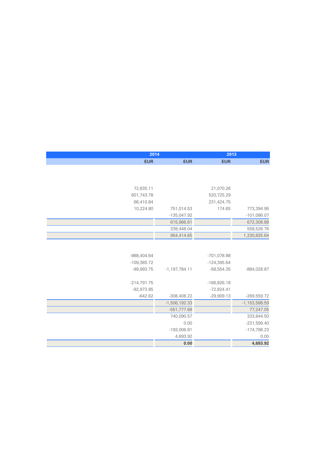|               | 2014            | 2013          |                   |
|---------------|-----------------|---------------|-------------------|
| <b>EUR</b>    | <b>EUR</b>      | <b>EUR</b>    | <b>EUR</b>        |
|               |                 |               |                   |
|               |                 |               |                   |
|               |                 |               |                   |
| 72,635.11     |                 | 21,070.26     |                   |
| 601,743.78    |                 | 520,725.29    |                   |
| 66,410.84     |                 | 231,424.75    |                   |
| 10,224.80     | 751,014.53      | 174.65        | 773,394.95        |
|               | $-135,047.92$   |               | $-101,086.07$     |
|               | 615,966.61      |               | 672,308.88        |
|               | 338,448.04      |               | 558,526.76        |
|               | 954,414.65      |               | 1,230,835.64      |
|               |                 |               |                   |
|               |                 |               |                   |
| $-988,404.64$ |                 | -701,078.88   |                   |
| $-109,385.72$ |                 | $-124,395.64$ |                   |
| $-99,993.75$  | $-1,197,784.11$ | $-58,554.35$  | $-884,028.87$     |
|               |                 |               |                   |
| $-214,791.75$ |                 | $-166,826.18$ |                   |
| $-92,973.85$  |                 | $-72,824.41$  |                   |
| $-642.62$     | $-308,408.22$   | $-29,909.13$  | $-269,559.72$     |
|               | $-1,506,192.33$ |               | $-1, 153, 588.59$ |
|               | $-551,777.68$   |               | 77,247.05         |
|               | 740,090.57      |               | 333,844.50        |
|               | 0.00            |               | $-231,599.40$     |
|               | $-193,006.81$   |               | $-174,798.23$     |
|               | 4,693.92        |               | 0.00              |
|               | 0.00            |               | 4,693.92          |
|               |                 |               |                   |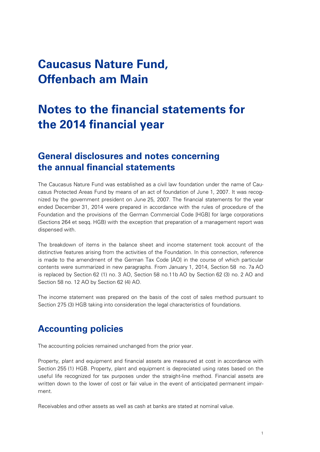# Notes to the financial statements for the 2014 financial year

### General disclosures and notes concerning the annual financial statements

The Caucasus Nature Fund was established as a civil law foundation under the name of Caucasus Protected Areas Fund by means of an act of foundation of June 1, 2007. It was recognized by the government president on June 25, 2007. The financial statements for the year ended December 31, 2014 were prepared in accordance with the rules of procedure of the Foundation and the provisions of the German Commercial Code [HGB] for large corporations (Sections 264 et seqq. HGB) with the exception that preparation of a management report was dispensed with.

The breakdown of items in the balance sheet and income statement took account of the distinctive features arising from the activities of the Foundation. In this connection, reference is made to the amendment of the German Tax Code [AO] in the course of which particular contents were summarized in new paragraphs. From January 1, 2014, Section 58 no. 7a AO is replaced by Section 62 (1) no. 3 AO, Section 58 no.11b AO by Section 62 (3) no. 2 AO and Section 58 no. 12 AO by Section 62 (4) AO.

The income statement was prepared on the basis of the cost of sales method pursuant to Section 275 (3) HGB taking into consideration the legal characteristics of foundations.

### Accounting policies

The accounting policies remained unchanged from the prior year.

Property, plant and equipment and financial assets are measured at cost in accordance with Section 255 (1) HGB. Property, plant and equipment is depreciated using rates based on the useful life recognized for tax purposes under the straight-line method. Financial assets are written down to the lower of cost or fair value in the event of anticipated permanent impairment.

Receivables and other assets as well as cash at banks are stated at nominal value.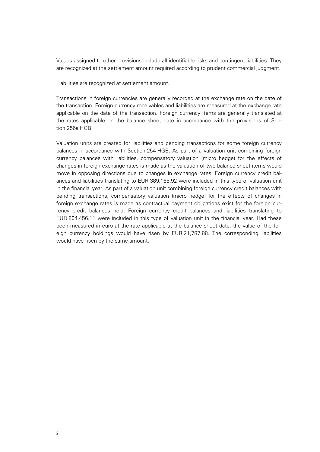Values assigned to other provisions include all identifiable risks and contingent liabilities. They are recognized at the settlement amount required according to prudent commercial judgment.

Liabilities are recognized at settlement amount.

Transactions in foreign currencies are generally recorded at the exchange rate on the date of the transaction. Foreign currency receivables and liabilities are measured at the exchange rate applicable on the date of the transaction. Foreign currency items are generally translated at the rates applicable on the balance sheet date in accordance with the provisions of Section 256a HGB.

Valuation units are created for liabilities and pending transactions for some foreign currency balances in accordance with Section 254 HGB. As part of a valuation unit combining foreign currency balances with liabilities, compensatory valuation (micro hedge) for the effects of changes in foreign exchange rates is made as the valuation of two balance sheet items would move in opposing directions due to changes in exchange rates. Foreign currency credit balances and liabilities translating to EUR 389,165.92 were included in this type of valuation unit in the financial year. As part of a valuation unit combining foreign currency credit balances with pending transactions, compensatory valuation (micro hedge) for the effects of changes in foreign exchange rates is made as contractual payment obligations exist for the foreign currency credit balances held. Foreign currency credit balances and liabilities translating to EUR 804,456.11 were included in this type of valuation unit in the financial year. Had these been measured in euro at the rate applicable at the balance sheet date, the value of the foreign currency holdings would have risen by EUR 21,787.88. The corresponding liabilities would have risen by the same amount.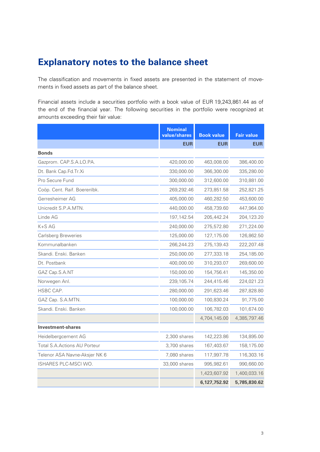### Explanatory notes to the balance sheet

The classification and movements in fixed assets are presented in the statement of movements in fixed assets as part of the balance sheet.

Financial assets include a securities portfolio with a book value of EUR 19,243,861.44 as of the end of the financial year. The following securities in the portfolio were recognized at amounts exceeding their fair value:

|                                     | <b>Nominal</b><br>value/shares | <b>Book value</b> | <b>Fair value</b> |
|-------------------------------------|--------------------------------|-------------------|-------------------|
|                                     | <b>EUR</b>                     | <b>EUR</b>        | <b>EUR</b>        |
| <b>Bonds</b>                        |                                |                   |                   |
| Gazprom. CAP.S.A.LO.PA.             | 420,000.00                     | 463,008.00        | 386,400.00        |
| Dt. Bank Cap.Fd.Tr.Xi               | 330,000.00                     | 366,300.00        | 335,280.00        |
| Pro Secure Fund                     | 300,000.00                     | 312,600.00        | 310,881.00        |
| Coöp. Cent. Raif. Boerenlbk.        | 269,292.46                     | 273,851.58        | 252,821.25        |
| Gerresheimer AG                     | 405,000.00                     | 460,282.50        | 453,600.00        |
| Unicredit S.P.A.MTN.                | 440,000.00                     | 458,739.60        | 447,964.00        |
| Linde AG                            | 197,142.54                     | 205,442.24        | 204,123.20        |
| $K+SAG$                             | 240,000.00                     | 275,572.80        | 271,224.00        |
| Carlsberg Breweries                 | 125,000.00                     | 127,175.00        | 126,862.50        |
| Kommunalbanken                      | 266,244.23                     | 275,139.43        | 222,207.48        |
| Skandi. Enski. Banken               | 250,000.00                     | 277,333.18        | 254,185.00        |
| Dt. Postbank                        | 400,000.00                     | 310,293.07        | 269,600.00        |
| GAZ Cap.S.A.NT                      | 150,000.00                     | 154,756.41        | 145,350.00        |
| Norwegen Anl.                       | 239,105.74                     | 244,415.46        | 224,021.23        |
| HSBC CAP.                           | 280,000.00                     | 291,623.46        | 287,828.80        |
| GAZ Cap. S.A.MTN.                   | 100,000.00                     | 100,830.24        | 91,775.00         |
| Skandi. Enski. Banken               | 100,000.00                     | 106,782.03        | 101,674.00        |
|                                     |                                | 4,704,145.00      | 4,385,797.46      |
| Investment-shares                   |                                |                   |                   |
| Heidelbergcement AG                 | 2,300 shares                   | 142,223.86        | 134,895.00        |
| <b>Total S.A.Actions AU Porteur</b> | 3,700 shares                   | 167,403.67        | 158,175.00        |
| Telenor ASA Navne-Aksjer NK 6       | 7,080 shares                   | 117,997.78        | 116,303.16        |
| ISHARES PLC-MSCI WO.                | 33,000 shares                  | 995,982.61        | 990,660.00        |
|                                     |                                | 1,423,607.92      | 1,400,033.16      |
|                                     |                                | 6,127,752.92      | 5,785,830.62      |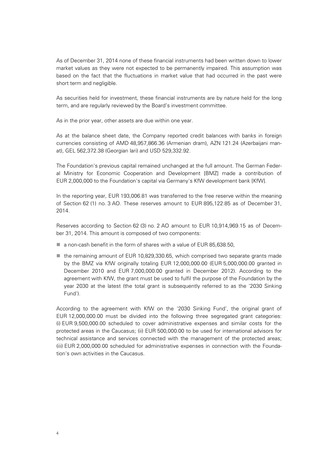As of December 31, 2014 none of these financial instruments had been written down to lower market values as they were not expected to be permanently impaired. This assumption was based on the fact that the fluctuations in market value that had occurred in the past were short term and negligible.

As securities held for investment, these financial instruments are by nature held for the long term, and are regularly reviewed by the Board's investment committee.

As in the prior year, other assets are due within one year.

As at the balance sheet date, the Company reported credit balances with banks in foreign currencies consisting of AMD 48,957,866.36 (Armenian dram), AZN 121.24 (Azerbaijani manat), GEL 562,372.38 (Georgian lari) and USD 529,332.92.

The Foundation's previous capital remained unchanged at the full amount. The German Federal Ministry for Economic Cooperation and Development [BMZ] made a contribution of EUR 2,000,000 to the Foundation's capital via Germany's KfW development bank [KfW].

In the reporting year, EUR 193,006.81 was transferred to the free reserve within the meaning of Section 62 (1) no. 3 AO. These reserves amount to EUR 895,122.85 as of December 31, 2014.-

Reserves according to Section 62 (3) no. 2 AO amount to EUR 10,914,969.15 as of December 31, 2014. This amount is composed of two components:

- a non-cash benefit in the form of shares with a value of EUR 85,638.50,
- Inthe remaining amount of EUR 10,829,330.65, which comprised two separate grants made by the BMZ via KfW originally totaling EUR 12,000,000.00 (EUR 5,000,000.00 granted in December 2010 and EUR 7,000,000.00 granted in December 2012). According to the agreement with KfW, the grant must be used to fulfil the purpose of the Foundation by the year 2030 at the latest (the total grant is subsequently referred to as the '2030 Sinking Fund').

According to the agreement with KfW on the '2030 Sinking Fund', the original grant of EUR 12,000,000.00 must be divided into the following three segregated grant categories: (i) EUR 9,500,000.00 scheduled to cover administrative expenses and similar costs for the protected areas in the Caucasus; (ii) EUR 500,000.00 to be used for international advisors for technical assistance and services connected with the management of the protected areas; (iii) EUR 2,000,000.00 scheduled for administrative expenses in connection with the Foundation's own activities in the Caucasus.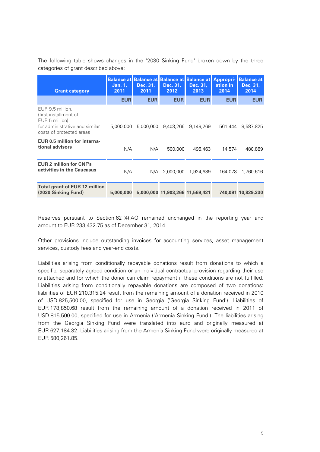The following table shows changes in the '2030 Sinking Fund' broken down by the three categories of grant described above:

| <b>Grant category</b>                                                                                                     | <b>Balance at</b><br><b>Jan. 1,</b><br>2011 | Dec. 31,<br>2011 | <b>Balance at Balance at Balance at</b><br>Dec. 31,<br>2012 | Dec. 31,<br>2013 | <b>Appropri-</b><br>ation in<br>2014 | <b>Balance at</b><br>Dec. 31,<br>2014 |
|---------------------------------------------------------------------------------------------------------------------------|---------------------------------------------|------------------|-------------------------------------------------------------|------------------|--------------------------------------|---------------------------------------|
|                                                                                                                           | <b>EUR</b>                                  | <b>EUR</b>       | <b>EUR</b>                                                  | <b>EUR</b>       | <b>EUR</b>                           | <b>EUR</b>                            |
| EUR 9.5 million.<br>(first installment of<br>EUR 5 million)<br>for administrative and similar<br>costs of protected areas | 5,000,000                                   | 5,000,000        | 9,403,266                                                   | 9,149,269        | 561,444                              | 8,587,825                             |
| <b>EUR 0.5 million for interna-</b><br>tional advisors                                                                    | N/A                                         | N/A              | 500,000                                                     | 495,463          | 14.574                               | 480,889                               |
| <b>EUR 2 million for CNF's</b><br>activities in the Caucasus                                                              | N/A                                         | N/A              | 2,000,000                                                   | 1,924,689        | 164,073                              | 1,760,616                             |
| <b>Total grant of EUR 12 million</b><br>(2030 Sinking Fund)                                                               | 5,000,000                                   |                  | 5,000,000 11,903,266 11,569,421                             |                  |                                      | 740,091 10,829,330                    |

Reserves pursuant to Section 62 (4) AO remained unchanged in the reporting year and amount to EUR 233,432.75 as of December 31, 2014.

Other provisions include outstanding invoices for accounting services, asset management services, custody fees and year-end costs.

Liabilities arising from conditionally repayable donations result from donations to which a specific, separately agreed condition or an individual contractual provision regarding their use is attached and for which the donor can claim repayment if these conditions are not fulfilled. Liabilities arising from conditionally repayable donations are composed of two donations: liabilities of EUR 210,315.24 result from the remaining amount of a donation received in 2010 of USD 825,500.00, specified for use in Georgia ('Georgia Sinking Fund'). Liabilities of EUR 178,850.68 result from the remaining amount of a donation received in 2011 of USD 815,500.00, specified for use in Armenia ('Armenia Sinking Fund'). The liabilities arising from the Georgia Sinking Fund were translated into euro and originally measured at EUR 627,184.32. Liabilities arising from the Armenia Sinking Fund were originally measured at EUR-580,261.85.-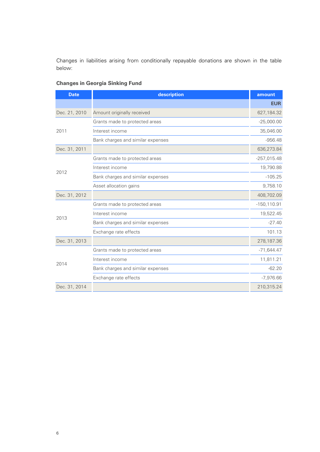Changes in liabilities arising from conditionally repayable donations are shown in the table below:

| <b>Date</b>   | description                       | amount         |
|---------------|-----------------------------------|----------------|
|               |                                   | <b>EUR</b>     |
| Dec. 21, 2010 | Amount originally received        | 627,184.32     |
|               | Grants made to protected areas    | $-25,000.00$   |
| 2011          | Interest income                   | 35,046.00      |
|               | Bank charges and similar expenses | $-956.48$      |
| Dec. 31, 2011 |                                   | 636,273.84     |
|               | Grants made to protected areas    | $-257,015.48$  |
|               | Interest income                   | 19,790.88      |
| 2012          | Bank charges and similar expenses | $-105.25$      |
|               | Asset allocation gains            | 9,758.10       |
| Dec. 31, 2012 |                                   | 408,702.09     |
|               | Grants made to protected areas    | $-150, 110.91$ |
|               | Interest income                   | 19,522.45      |
| 2013          | Bank charges and similar expenses | $-27.40$       |
|               | Exchange rate effects             | 101.13         |
| Dec. 31, 2013 |                                   | 278,187.36     |
|               | Grants made to protected areas    | $-71,644.47$   |
|               | Interest income                   | 11,811.21      |
| 2014          | Bank charges and similar expenses | $-62.20$       |
|               | Exchange rate effects             | $-7,976.66$    |
| Dec. 31, 2014 |                                   | 210,315.24     |

### Changes in Georgia Sinking Fund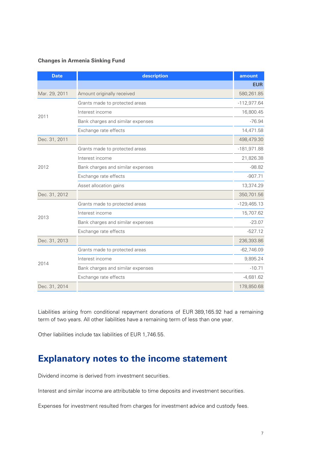### Changes in Armenia Sinking Fund

| <b>Date</b>   | description                       | amount        |
|---------------|-----------------------------------|---------------|
|               |                                   | <b>EUR</b>    |
| Mar. 29, 2011 | Amount originally received        | 580,261.85    |
|               | Grants made to protected areas    | $-112,977.64$ |
| 2011          | Interest income                   | 16,800.45     |
|               | Bank charges and similar expenses | $-76.94$      |
|               | Exchange rate effects             | 14,471.58     |
| Dec. 31, 2011 |                                   | 498,479.30    |
|               | Grants made to protected areas    | $-181,971.88$ |
|               | Interest income                   | 21,826.38     |
| 2012          | Bank charges and similar expenses | $-98.82$      |
|               | Exchange rate effects             | $-907.71$     |
|               | Asset allocation gains            | 13,374.29     |
| Dec. 31, 2012 |                                   | 350,701.56    |
|               | Grants made to protected areas    | $-129,465.13$ |
|               | Interest income                   | 15,707.62     |
| 2013          | Bank charges and similar expenses | $-23.07$      |
|               | Exchange rate effects             | $-527.12$     |
| Dec. 31, 2013 |                                   | 236,393.86    |
|               | Grants made to protected areas    | $-62,746.09$  |
|               | Interest income                   | 9,895.24      |
| 2014          | Bank charges and similar expenses | $-10.71$      |
|               | Exchange rate effects             | $-4,681.62$   |
| Dec. 31, 2014 |                                   | 178,850.68    |

Liabilities arising from conditional repayment donations of EUR 389,165.92 had a remaining term of two years. All other liabilities have a remaining term of less than one year.

Other liabilities include tax liabilities of EUR 1,746.55.

### Explanatory notes to the income statement

Dividend income is derived from investment securities.

Interest and similar income are attributable to time deposits and investment securities.

Expenses for investment resulted from charges for investment advice and custody fees.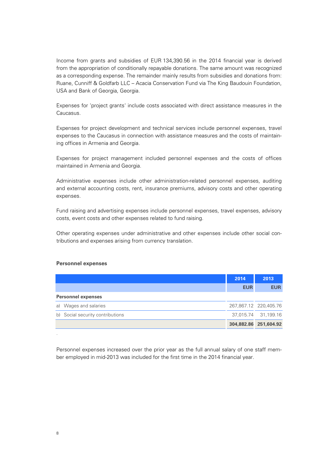Income from grants and subsidies of EUR 134,390.56 in the 2014 financial year is derived from the appropriation of conditionally repayable donations. The same amount was recognized as a corresponding expense. The remainder mainly results from subsidies and donations from: Ruane, Cunniff & Goldfarb LLC – Acacia Conservation Fund via The King Baudouin Foundation, USA and Bank of Georgia, Georgia.

Expenses for 'project grants' include costs associated with direct assistance measures in the Caucasus.

Expenses for project development and technical services include personnel expenses, travel expenses to the Caucasus in connection with assistance measures and the costs of maintaining offices in Armenia and Georgia.

Expenses for project management included personnel expenses and the costs of offices maintained in Armenia and Georgia.

Administrative expenses include other administration-related personnel expenses, auditing and external accounting costs, rent, insurance premiums, advisory costs and other operating expenses.

Fund raising and advertising expenses include personnel expenses, travel expenses, advisory costs, event costs and other expenses related to fund raising.

Other operating expenses under administrative and other expenses include other social contributions and expenses arising from currency translation.

#### Personnel expenses

|                                  | 2014       | 2013                  |
|----------------------------------|------------|-----------------------|
|                                  | <b>EUR</b> | <b>EUR</b>            |
| <b>Personnel expenses</b>        |            |                       |
| a) Wages and salaries            |            | 267,867.12 220,405.76 |
| b) Social security contributions |            | 37,015.74 31,199.16   |
|                                  |            | 304,882.86 251,604.92 |

Personnel expenses increased over the prior year as the full annual salary of one staff member employed in mid-2013 was included for the first time in the 2014 financial year.

.-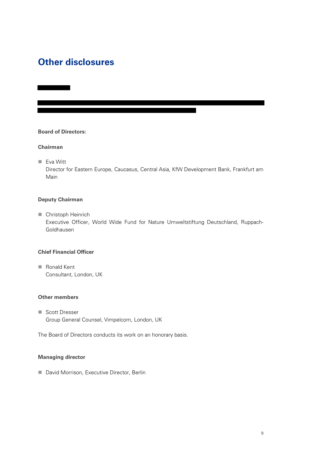### Other disclosures

#### Board of Directors:

### Chairman

■ Eva Witt

Director for Eastern Europe, Caucasus, Central Asia, KfW Development Bank, Frankfurt am Main-

### Deputy Chairman

■ Christoph Heinrich

Executive Officer, World Wide Fund for Nature Umweltstiftung Deutschland, Ruppach-Goldhausen-

### Chief Financial Officer

■ Ronald Kent Consultant, London, UK

### Other members

■ Scott Dresser Group General Counsel, Vimpelcom, London, UK

The Board of Directors conducts its work on an honorary basis.

### Managing director

**David Morrison, Executive Director, Berlin**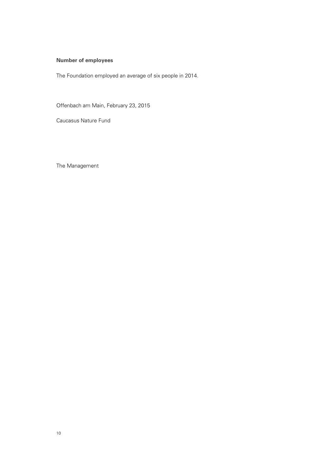### Number of employees

The Foundation employed an average of six people in 2014.

Offenbach am Main, February 23, 2015

Caucasus Nature Fund

The Management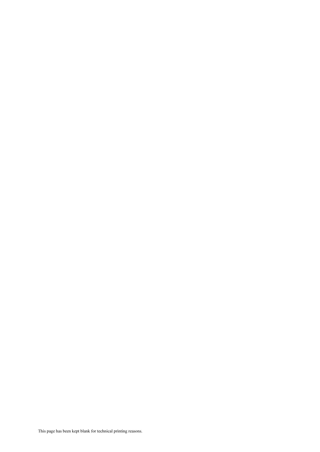This page has been kept blank for technical printing reasons.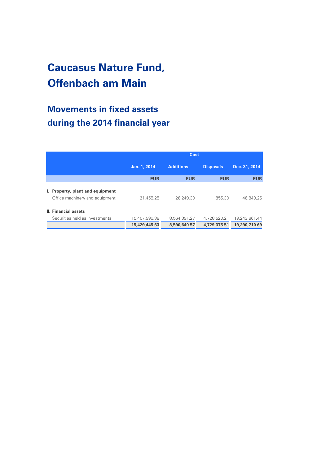## Movements in fixed assets during the 2014 financial year

|                                                                    | <b>Cost</b>   |                  |                  |               |  |
|--------------------------------------------------------------------|---------------|------------------|------------------|---------------|--|
|                                                                    | Jan. 1, 2014  | <b>Additions</b> | <b>Disposals</b> | Dec. 31, 2014 |  |
|                                                                    | <b>EUR</b>    | <b>EUR</b>       | <b>EUR</b>       | <b>EUR</b>    |  |
| I. Property, plant and equipment<br>Office machinery and equipment | 21.455.25     | 26.249.30        | 855.30           | 46.849.25     |  |
| II. Financial assets<br>Securities held as investments             | 15,407,990.38 | 8,564,391.27     | 4,728,520.21     | 19,243,861.44 |  |
|                                                                    | 15,429,445.63 | 8,590,640.57     | 4.729.375.51     | 19,290,710.69 |  |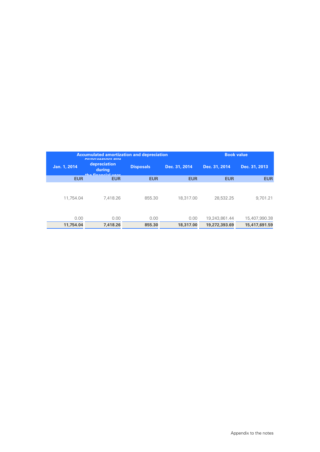|              | <b>Accumulated amortization and depreciation</b><br><b>MINULUAGUUH GHU</b> |                  | <b>Book value</b> |               |               |
|--------------|----------------------------------------------------------------------------|------------------|-------------------|---------------|---------------|
| Jan. 1, 2014 | depreciation<br>during<br>the financial year                               | <b>Disposals</b> | Dec. 31, 2014     | Dec. 31, 2014 | Dec. 31, 2013 |
| <b>EUR</b>   | <b>EUR</b>                                                                 | <b>EUR</b>       | <b>EUR</b>        | <b>EUR</b>    | <b>EUR</b>    |
| 11.754.04    | 7.418.26                                                                   | 855.30           | 18.317.00         | 28.532.25     | 9.701.21      |
| 0.00         | 0.00                                                                       | 0.00             | 0.00              | 19,243,861.44 | 15,407,990.38 |
| 11,754.04    | 7.418.26                                                                   | 855.30           | 18,317.00         | 19,272,393.69 | 15,417,691.59 |